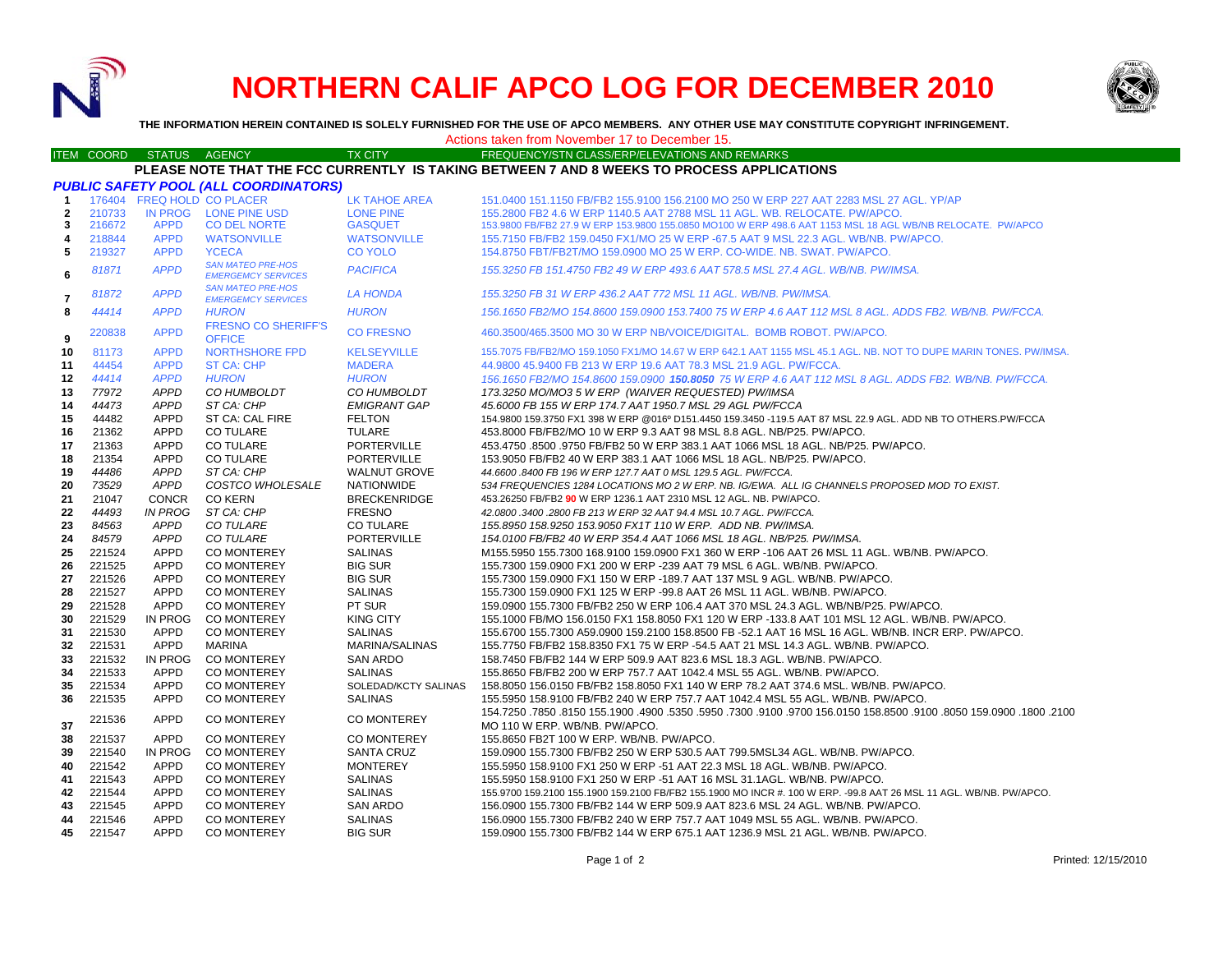

# **NORTHERN CALIF APCO LOG FOR DECEMBER 2010**



**THE INFORMATION HEREIN CONTAINED IS SOLELY FURNISHED FOR THE USE OF APCO MEMBERS. ANY OTHER USE MAY CONSTITUTE COPYRIGHT INFRINGEMENT.**

# Actions taken from November 17 to December 15.

#### ITEM COORD STATUS AGENCY TX CITY TIREQUENCY/STN CLASS/ERP/ELEVATIONS AND REMARKS **PLEASE NOTE THAT THE FCC CURRENTLY IS TAKING BETWEEN 7 AND 8 WEEKS TO PROCESS APPLICATIONS**

| <b>PUBLIC SAFETY POOL (ALL COORDINATORS)</b> |        |                |                                                       |                       |                                                                                                                        |  |
|----------------------------------------------|--------|----------------|-------------------------------------------------------|-----------------------|------------------------------------------------------------------------------------------------------------------------|--|
| $\mathbf{1}$                                 |        |                | 176404 FREQ HOLD CO PLACER                            | <b>LK TAHOE AREA</b>  | 151.0400 151.1150 FB/FB2 155.9100 156.2100 MO 250 W ERP 227 AAT 2283 MSL 27 AGL. YP/AP                                 |  |
| $\overline{2}$                               | 210733 |                | IN PROG LONE PINE USD                                 | <b>LONE PINE</b>      | 155.2800 FB2 4.6 W ERP 1140.5 AAT 2788 MSL 11 AGL, WB, RELOCATE, PW/APCO,                                              |  |
| 3                                            | 216672 | <b>APPD</b>    | <b>CO DEL NORTE</b>                                   | <b>GASQUET</b>        | 153.9800 FB/FB2 27.9 W ERP 153.9800 155.0850 MO100 W ERP 498.6 AAT 1153 MSL 18 AGL WB/NB RELOCATE. PW/APCO             |  |
| 4                                            | 218844 | <b>APPD</b>    | <b>WATSONVILLE</b>                                    | <b>WATSONVILLE</b>    | 155.7150 FB/FB2 159.0450 FX1/MO 25 W ERP -67.5 AAT 9 MSL 22.3 AGL. WB/NB. PW/APCO.                                     |  |
| 5                                            | 219327 | <b>APPD</b>    | <b>YCECA</b>                                          | <b>CO YOLO</b>        | 154.8750 FBT/FB2T/MO 159.0900 MO 25 W ERP. CO-WIDE. NB. SWAT. PW/APCO.                                                 |  |
| 6                                            | 81871  | <b>APPD</b>    | <b>SAN MATEO PRE-HOS</b><br><b>EMERGEMCY SERVICES</b> | <b>PACIFICA</b>       | 155.3250 FB 151.4750 FB2 49 W ERP 493.6 AAT 578.5 MSL 27.4 AGL. WB/NB. PW/IMSA.                                        |  |
| $\overline{7}$                               | 81872  | <b>APPD</b>    | <b>SAN MATEO PRE-HOS</b><br><b>EMERGEMCY SERVICES</b> | <b>LA HONDA</b>       | 155.3250 FB 31 W ERP 436.2 AAT 772 MSL 11 AGL, WB/NB, PW/IMSA,                                                         |  |
| 8                                            | 44414  | <b>APPD</b>    | <b>HURON</b>                                          | <b>HURON</b>          | 156.1650 FB2/MO 154.8600 159.0900 153.7400 75 W ERP 4.6 AAT 112 MSL 8 AGL. ADDS FB2. WB/NB. PW/FCCA.                   |  |
| 9                                            | 220838 | <b>APPD</b>    | <b>FRESNO CO SHERIFF'S</b><br><b>OFFICE</b>           | <b>CO FRESNO</b>      | 460.3500/465.3500 MO 30 W ERP NB/VOICE/DIGITAL, BOMB ROBOT, PW/APCO,                                                   |  |
| 10                                           | 81173  | <b>APPD</b>    | <b>NORTHSHORE FPD</b>                                 | <b>KELSEYVILLE</b>    | 155.7075 FB/FB2/MO 159.1050 FX1/MO 14.67 W ERP 642.1 AAT 1155 MSL 45.1 AGL. NB. NOT TO DUPE MARIN TONES. PW/IMSA.      |  |
| 11                                           | 44454  | <b>APPD</b>    | <b>ST CA: CHP</b>                                     | <b>MADERA</b>         | 44.9800 45.9400 FB 213 W ERP 19.6 AAT 78.3 MSL 21.9 AGL. PW/FCCA.                                                      |  |
| 12                                           | 44414  | <b>APPD</b>    | <b>HURON</b>                                          | <b>HURON</b>          | 156.1650 FB2/MO 154.8600 159.0900 150.8050 75 W ERP 4.6 AAT 112 MSL 8 AGL. ADDS FB2, WB/NB, PW/FCCA,                   |  |
| 13                                           | 77972  | <b>APPD</b>    | CO HUMBOLDT                                           | CO HUMBOLDT           | 173.3250 MO/MO3 5 W ERP (WAIVER REQUESTED) PW/IMSA                                                                     |  |
| 14                                           | 44473  | <b>APPD</b>    | ST CA: CHP                                            | <b>EMIGRANT GAP</b>   | 45.6000 FB 155 W ERP 174.7 AAT 1950.7 MSL 29 AGL PW/FCCA                                                               |  |
| 15                                           | 44482  | <b>APPD</b>    | ST CA: CAL FIRE                                       | <b>FELTON</b>         | 154.9800 159.3750 FX1 398 W ERP @016º D151.4450 159.3450 -119.5 AAT 87 MSL 22.9 AGL. ADD NB TO OTHERS.PW/FCCA          |  |
| 16                                           | 21362  | <b>APPD</b>    | <b>CO TULARE</b>                                      | <b>TULARE</b>         | 453.8000 FB/FB2/MO 10 W ERP 9.3 AAT 98 MSL 8.8 AGL. NB/P25. PW/APCO.                                                   |  |
| 17                                           | 21363  | <b>APPD</b>    | <b>CO TULARE</b>                                      | <b>PORTERVILLE</b>    | 453.4750 .8500 .9750 FB/FB2 50 W ERP 383.1 AAT 1066 MSL 18 AGL, NB/P25, PW/APCO,                                       |  |
| 18                                           | 21354  | <b>APPD</b>    | <b>CO TULARE</b>                                      | <b>PORTERVILLE</b>    | 153.9050 FB/FB2 40 W ERP 383.1 AAT 1066 MSL 18 AGL. NB/P25. PW/APCO.                                                   |  |
| 19                                           | 44486  | <b>APPD</b>    | ST CA: CHP                                            | <b>WALNUT GROVE</b>   | 44.6600 .8400 FB 196 W ERP 127.7 AAT 0 MSL 129.5 AGL. PW/FCCA.                                                         |  |
| 20                                           | 73529  | <b>APPD</b>    | COSTCO WHOLESALE                                      | <b>NATIONWIDE</b>     | 534 FREQUENCIES 1284 LOCATIONS MO 2 W ERP. NB. IG/EWA. ALL IG CHANNELS PROPOSED MOD TO EXIST.                          |  |
| 21                                           | 21047  | <b>CONCR</b>   | <b>CO KERN</b>                                        | <b>BRECKENRIDGE</b>   | 453.26250 FB/FB2 90 W ERP 1236.1 AAT 2310 MSL 12 AGL. NB. PW/APCO.                                                     |  |
| 22                                           | 44493  | <b>IN PROG</b> | ST CA: CHP                                            | <b>FRESNO</b>         | 42.0800 .3400 .2800 FB 213 W ERP 32 AAT 94.4 MSL 10.7 AGL. PW/FCCA.                                                    |  |
| 23                                           | 84563  | <b>APPD</b>    | CO TULARE                                             | <b>CO TULARE</b>      | 155.8950 158.9250 153.9050 FX1T 110 W ERP. ADD NB. PW/IMSA.                                                            |  |
| 24                                           | 84579  | <b>APPD</b>    | <b>CO TULARE</b>                                      | <b>PORTERVILLE</b>    | 154.0100 FB/FB2 40 W ERP 354.4 AAT 1066 MSL 18 AGL. NB/P25. PW/IMSA.                                                   |  |
| 25                                           | 221524 | <b>APPD</b>    | <b>CO MONTEREY</b>                                    | <b>SALINAS</b>        | M155.5950 155.7300 168.9100 159.0900 FX1 360 W ERP -106 AAT 26 MSL 11 AGL. WB/NB. PW/APCO.                             |  |
| 26                                           | 221525 | <b>APPD</b>    | <b>CO MONTEREY</b>                                    | <b>BIG SUR</b>        | 155.7300 159.0900 FX1 200 W ERP -239 AAT 79 MSL 6 AGL. WB/NB. PW/APCO.                                                 |  |
| 27                                           | 221526 | <b>APPD</b>    | <b>CO MONTEREY</b>                                    | <b>BIG SUR</b>        | 155.7300 159.0900 FX1 150 W ERP - 189.7 AAT 137 MSL 9 AGL. WB/NB. PW/APCO.                                             |  |
| 28                                           | 221527 | <b>APPD</b>    | <b>CO MONTEREY</b>                                    | <b>SALINAS</b>        | 155.7300 159.0900 FX1 125 W ERP -99.8 AAT 26 MSL 11 AGL, WB/NB, PW/APCO,                                               |  |
| 29                                           | 221528 | <b>APPD</b>    | <b>CO MONTEREY</b>                                    | PT SUR                | 159,0900 155,7300 FB/FB2 250 W ERP 106.4 AAT 370 MSL 24.3 AGL. WB/NB/P25, PW/APCO.                                     |  |
| 30                                           | 221529 | IN PROG        | <b>CO MONTEREY</b>                                    | <b>KING CITY</b>      | 155.1000 FB/MO 156.0150 FX1 158.8050 FX1 120 W ERP -133.8 AAT 101 MSL 12 AGL. WB/NB. PW/APCO.                          |  |
| 31                                           | 221530 | APPD           | CO MONTEREY                                           | <b>SALINAS</b>        | 155.6700 155.7300 A59.0900 159.2100 158.8500 FB -52.1 AAT 16 MSL 16 AGL. WB/NB. INCR ERP. PW/APCO.                     |  |
| 32                                           | 221531 | <b>APPD</b>    | <b>MARINA</b>                                         | <b>MARINA/SALINAS</b> | 155.7750 FB/FB2 158.8350 FX1 75 W ERP -54.5 AAT 21 MSL 14.3 AGL. WB/NB. PW/APCO.                                       |  |
| 33                                           | 221532 | IN PROG        | CO MONTEREY                                           | <b>SAN ARDO</b>       | 158.7450 FB/FB2 144 W ERP 509.9 AAT 823.6 MSL 18.3 AGL, WB/NB, PW/APCO,                                                |  |
| 34                                           | 221533 | <b>APPD</b>    | <b>CO MONTEREY</b>                                    | <b>SALINAS</b>        | 155.8650 FB/FB2 200 W ERP 757.7 AAT 1042.4 MSL 55 AGL. WB/NB. PW/APCO.                                                 |  |
| 35                                           | 221534 | <b>APPD</b>    | CO MONTEREY                                           | SOLEDAD/KCTY SALINAS  | 158.8050 156.0150 FB/FB2 158.8050 FX1 140 W ERP 78.2 AAT 374.6 MSL. WB/NB. PW/APCO.                                    |  |
| 36                                           | 221535 | <b>APPD</b>    | <b>CO MONTEREY</b>                                    | <b>SALINAS</b>        | 155.5950 158.9100 FB/FB2 240 W ERP 757.7 AAT 1042.4 MSL 55 AGL. WB/NB. PW/APCO.                                        |  |
|                                              | 221536 | <b>APPD</b>    | <b>CO MONTEREY</b>                                    | <b>CO MONTEREY</b>    | 1002. 1800. 1800. 1800. 1800. 1800. 1800. 1500. 1500. 1600. 1800. 17300. 17300. 1800. 1800. 1800. 1800. 174, 154, 7250 |  |
| 37                                           |        |                |                                                       |                       | MO 110 W ERP. WB/NB. PW/APCO.                                                                                          |  |
| 38                                           | 221537 | APPD           | <b>CO MONTEREY</b>                                    | <b>CO MONTEREY</b>    | 155.8650 FB2T 100 W ERP. WB/NB. PW/APCO.                                                                               |  |
| 39                                           | 221540 | IN PROG        | <b>CO MONTEREY</b>                                    | <b>SANTA CRUZ</b>     | 159.0900 155.7300 FB/FB2 250 W ERP 530.5 AAT 799.5MSL34 AGL. WB/NB. PW/APCO.                                           |  |
| 40                                           | 221542 | <b>APPD</b>    | <b>CO MONTEREY</b>                                    | <b>MONTEREY</b>       | 155.5950 158.9100 FX1 250 W ERP -51 AAT 22.3 MSL 18 AGL. WB/NB. PW/APCO.                                               |  |
| 41                                           | 221543 | <b>APPD</b>    | <b>CO MONTEREY</b>                                    | <b>SALINAS</b>        | 155,5950 158,9100 FX1 250 W ERP -51 AAT 16 MSL 31,1AGL, WB/NB, PW/APCO,                                                |  |
| 42                                           | 221544 | <b>APPD</b>    | <b>CO MONTEREY</b>                                    | <b>SALINAS</b>        | 155.9700 159.2100 155.1900 159.2100 FB/FB2 155.1900 MO INCR #. 100 W ERP. -99.8 AAT 26 MSL 11 AGL. WB/NB. PW/APCO.     |  |
| 43                                           | 221545 | <b>APPD</b>    | <b>CO MONTEREY</b>                                    | <b>SAN ARDO</b>       | 156,0900 155,7300 FB/FB2 144 W ERP 509.9 AAT 823.6 MSL 24 AGL, WB/NB, PW/APCO,                                         |  |
| 44                                           | 221546 | <b>APPD</b>    | <b>CO MONTEREY</b>                                    | <b>SALINAS</b>        | 156.0900 155.7300 FB/FB2 240 W ERP 757.7 AAT 1049 MSL 55 AGL. WB/NB. PW/APCO.                                          |  |
| 45                                           | 221547 | <b>APPD</b>    | <b>CO MONTEREY</b>                                    | <b>BIG SUR</b>        | 159,0900 155,7300 FB/FB2 144 W ERP 675.1 AAT 1236.9 MSL 21 AGL, WB/NB, PW/APCO,                                        |  |